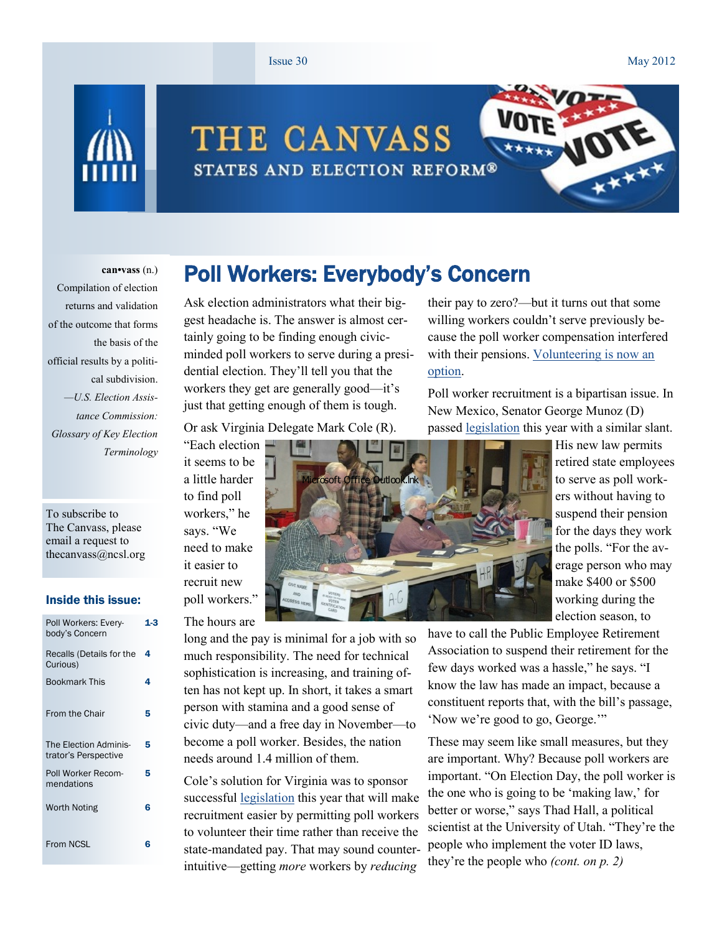#### Issue 30 May 2012

 $\sum_{i}$ 



# THE CANVASS STATES AND ELECTION REFORM®

#### **can•vass** (n.)

Compilation of election returns and validation of the outcome that forms the basis of the official results by a political subdivision. *—U.S. Election Assistance Commission: Glossary of Key Election Terminology*

To subscribe to The Canvass, please email a request to thecanvass@ncsl.org

#### Inside this issue:

| Poll Workers: Every-<br>body's Concern        | 1.3 |
|-----------------------------------------------|-----|
| Recalls (Details for the<br>Curious)          | 4   |
| <b>Bookmark This</b>                          | 4   |
| <b>From the Chair</b>                         | 5   |
| The Election Adminis-<br>trator's Perspective | 5   |
| Poll Worker Recom-<br>mendations              | 5   |
| Worth Noting                                  | 6   |
| From NCSL                                     | ห   |

### Poll Workers: Everybody's Concern

Ask election administrators what their biggest headache is. The answer is almost certainly going to be finding enough civicminded poll workers to serve during a presidential election. They"ll tell you that the workers they get are generally good—it's just that getting enough of them is tough.

Or ask Virginia Delegate Mark Cole (R).

"Each election it seems to be a little harder to find poll workers," he says. "We need to make it easier to recruit new poll workers."

### The hours are

long and the pay is minimal for a job with so much responsibility. The need for technical sophistication is increasing, and training often has not kept up. In short, it takes a smart person with stamina and a good sense of civic duty—and a free day in November—to become a poll worker. Besides, the nation needs around 1.4 million of them.

Cole"s solution for Virginia was to sponsor successful [legislation](http://lis.virginia.gov/cgi-bin/legp604.exe?121+ful+CHAP0489) this year that will make recruitment easier by permitting poll workers to volunteer their time rather than receive the state-mandated pay. That may sound counterintuitive—getting *more* workers by *reducing*

their pay to zero?—but it turns out that some willing workers couldn"t serve previously because the poll worker compensation interfered with their pensions. Volunteering is now an [option.](http://blog.lib.umn.edu/cspg/electionacademy/2012/03/virginia_pollworkers_can_now_w.php)

Poll worker recruitment is a bipartisan issue. In New Mexico, Senator George Munoz (D) passed [legislation](http://www.nmlegis.gov/sessions/12%20Regular/final/SB0052.pdf) this year with a similar slant.



His new law permits retired state employees to serve as poll workers without having to suspend their pension for the days they work the polls. "For the average person who may make \$400 or \$500 working during the election season, to

have to call the Public Employee Retirement Association to suspend their retirement for the few days worked was a hassle," he says. "I know the law has made an impact, because a constituent reports that, with the bill"s passage, "Now we"re good to go, George.""

These may seem like small measures, but they are important. Why? Because poll workers are important. "On Election Day, the poll worker is the one who is going to be 'making law,' for better or worse," says Thad Hall, a political scientist at the University of Utah. "They"re the people who implement the voter ID laws, they"re the people who *(cont. on p. 2)*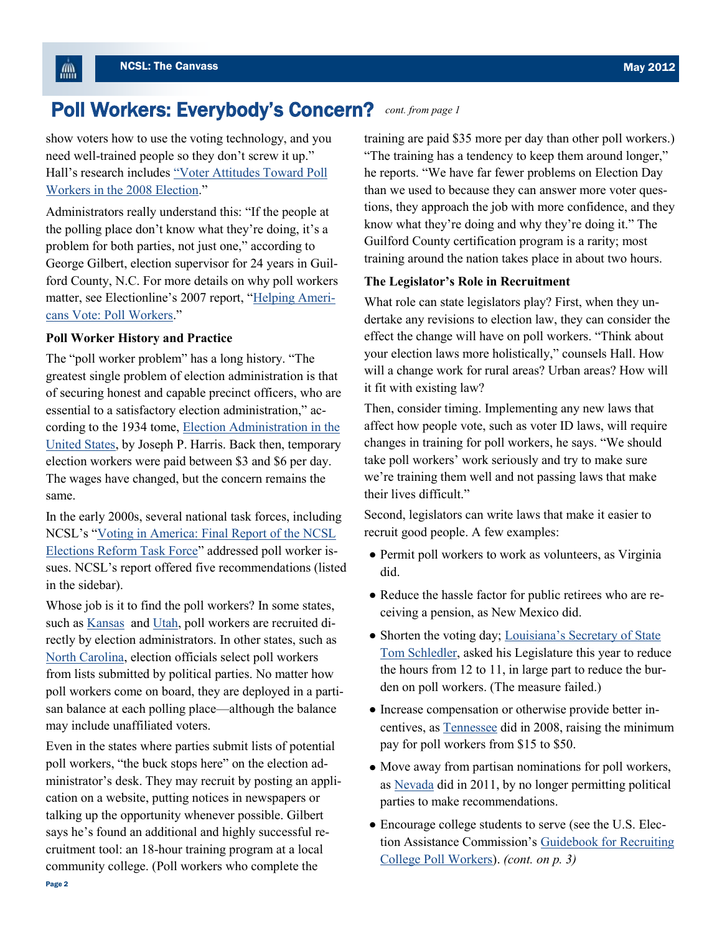$\mathbb{R}^m$ 

#### Poll Workers: Everybody's Concern? *cont. from page 1*

show voters how to use the voting technology, and you need well-trained people so they don"t screw it up." Hall"s research includes "[Voter Attitudes Toward Poll](http://vote.caltech.edu/drupal/files/working_paper/WP_77.pdf)  [Workers in the 2008 Election](http://vote.caltech.edu/drupal/files/working_paper/WP_77.pdf)."

Administrators really understand this: "If the people at the polling place don"t know what they"re doing, it"s a problem for both parties, not just one," according to George Gilbert, election supervisor for 24 years in Guilford County, N.C. For more details on why poll workers matter, see Electionline's 2007 report, "[Helping Ameri](http://www.pewtrusts.org/uploadedFiles/wwwpewtrustsorg/Reports/Election_reform/ERIPBrief19_final.pdf)[cans Vote: Poll Workers](http://www.pewtrusts.org/uploadedFiles/wwwpewtrustsorg/Reports/Election_reform/ERIPBrief19_final.pdf)."

#### **Poll Worker History and Practice**

The "poll worker problem" has a long history. "The greatest single problem of election administration is that of securing honest and capable precinct officers, who are essential to a satisfactory election administration," according to the 1934 tome, [Election Administration in the](http://www.nist.gov/itl/vote/josephharrisrpt.cfm)  [United States,](http://www.nist.gov/itl/vote/josephharrisrpt.cfm) by Joseph P. Harris. Back then, temporary election workers were paid between \$3 and \$6 per day. The wages have changed, but the concern remains the same.

In the early 2000s, several national task forces, including NCSL"s "[Voting in America: Final Report of the NCSL](http://www.ncsl.org/default.aspx?tabid=16495)  [Elections Reform Task Force](http://www.ncsl.org/default.aspx?tabid=16495)" addressed poll worker issues. NCSL"s report offered five recommendations (listed in the sidebar).

Whose job is it to find the poll workers? In some states, such as [Kansas](http://www.sedgwickcounty.org/elections/precinct_worker.asp) and [Utah,](http://www.utahcountyonline.org/Dept/clerkaud/Elections/pollworkers.asp) poll workers are recruited directly by election administrators. In other states, such as [North Carolina,](http://www.ncleg.net/EnactedLegislation/Statutes/HTML/BySection/Chapter_163/GS_163-41.html) election officials select poll workers from lists submitted by political parties. No matter how poll workers come on board, they are deployed in a partisan balance at each polling place—although the balance may include unaffiliated voters.

Even in the states where parties submit lists of potential poll workers, "the buck stops here" on the election administrator's desk. They may recruit by posting an application on a website, putting notices in newspapers or talking up the opportunity whenever possible. Gilbert says he's found an additional and highly successful recruitment tool: an 18-hour training program at a local community college. (Poll workers who complete the

training are paid \$35 more per day than other poll workers.) "The training has a tendency to keep them around longer," he reports. "We have far fewer problems on Election Day than we used to because they can answer more voter questions, they approach the job with more confidence, and they know what they"re doing and why they"re doing it." The Guilford County certification program is a rarity; most training around the nation takes place in about two hours.

#### **The Legislator's Role in Recruitment**

What role can state legislators play? First, when they undertake any revisions to election law, they can consider the effect the change will have on poll workers. "Think about your election laws more holistically," counsels Hall. How will a change work for rural areas? Urban areas? How will it fit with existing law?

Then, consider timing. Implementing any new laws that affect how people vote, such as voter ID laws, will require changes in training for poll workers, he says. "We should take poll workers' work seriously and try to make sure we"re training them well and not passing laws that make their lives difficult."

Second, legislators can write laws that make it easier to recruit good people. A few examples:

- Permit poll workers to work as volunteers, as Virginia did.
- Reduce the hassle factor for public retirees who are receiving a pension, as New Mexico did.
- Shorten the voting day; Louisiana's Secretary of State [Tom Schledler,](http://theadvocate.com/news/2727275-123/senate-panel-blocks-cut-in) asked his Legislature this year to reduce the hours from 12 to 11, in large part to reduce the burden on poll workers. (The measure failed.)
- Increase compensation or otherwise provide better incentives, as [Tennessee](http://wapp.capitol.tn.gov/apps/Billinfo/default.aspx?BillNumber=SB3650&ga=105) did in 2008, raising the minimum pay for poll workers from \$15 to \$50.
- Move away from partisan nominations for poll workers, as [Nevada](http://www.leg.state.nv.us/Session/76th2011/Bills/AB/AB473_EN.pdf) did in 2011, by no longer permitting political parties to make recommendations.
- Encourage college students to serve (see the U.S. Election Assistance Commission's Guidebook for Recruiting [College Poll Workers\).](http://www.eac.gov/assets/1/Page/A%20Guidebook%20for%20Recruiting%20College%20Poll%20Workers.pdf) *(cont. on p. 3)*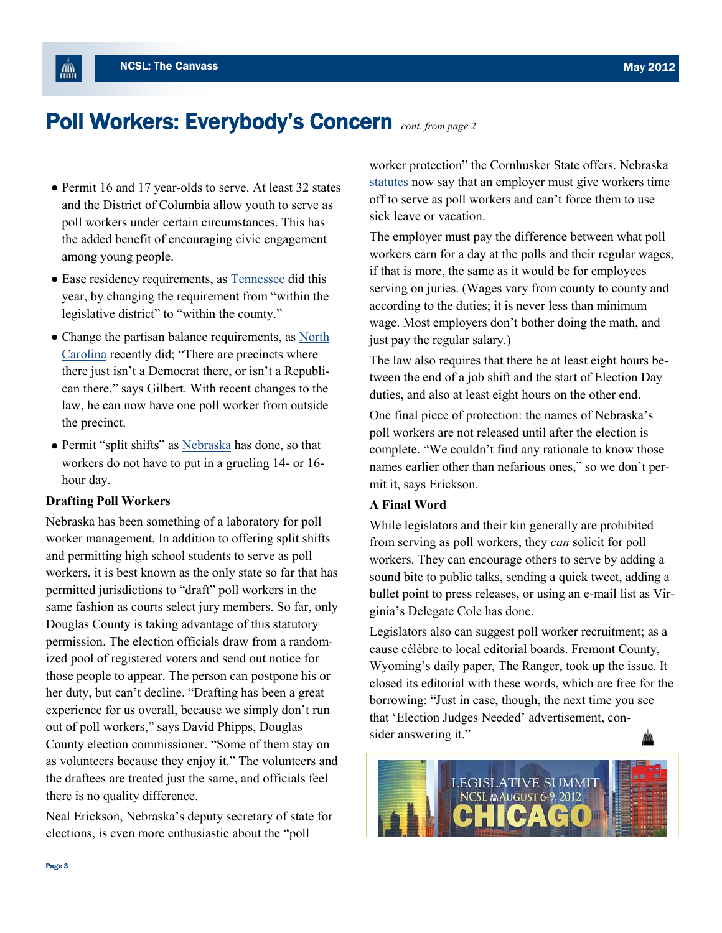儡

## Poll Workers: Everybody's Concern *cont. from page 2*

- Permit 16 and 17 year-olds to serve. At least 32 states and the District of Columbia allow youth to serve as poll workers under certain circumstances. This has the added benefit of encouraging civic engagement among young people.
- Ease residency requirements, as [Tennessee](http://www.capitol.tn.gov/Bills/107/Bill/HB0378.pdf) did this year, by changing the requirement from "within the legislative district" to "within the county."
- Change the partisan balance requirements, as North [Carolina](http://www.ncga.state.nc.us/gascripts/statutes/statutelookup.pl?statute=163-41) recently did; "There are precincts where there just isn"t a Democrat there, or isn"t a Republican there," says Gilbert. With recent changes to the law, he can now have one poll worker from outside the precinct.
- Permit "split shifts" as [Nebraska](http://uniweb.legislature.ne.gov/laws/statutes.php?statute=32-230) has done, so that workers do not have to put in a grueling 14- or 16 hour day.

#### **Drafting Poll Workers**

Nebraska has been something of a laboratory for poll worker management. In addition to offering split shifts and permitting high school students to serve as poll workers, it is best known as the only state so far that has permitted jurisdictions to "draft" poll workers in the same fashion as courts select jury members. So far, only Douglas County is taking advantage of this statutory permission. The election officials draw from a randomized pool of registered voters and send out notice for those people to appear. The person can postpone his or her duty, but can"t decline. "Drafting has been a great experience for us overall, because we simply don"t run out of poll workers," says David Phipps, Douglas County election commissioner. "Some of them stay on as volunteers because they enjoy it." The volunteers and the draftees are treated just the same, and officials feel there is no quality difference.

Neal Erickson, Nebraska"s deputy secretary of state for elections, is even more enthusiastic about the "poll

worker protection" the Cornhusker State offers. Nebraska [statutes](http://uniweb.legislature.ne.gov/laws/statutes.php?statute=32-241) now say that an employer must give workers time off to serve as poll workers and can"t force them to use sick leave or vacation.

The employer must pay the difference between what poll workers earn for a day at the polls and their regular wages, if that is more, the same as it would be for employees serving on juries. (Wages vary from county to county and according to the duties; it is never less than minimum wage. Most employers don"t bother doing the math, and just pay the regular salary.)

The law also requires that there be at least eight hours between the end of a job shift and the start of Election Day duties, and also at least eight hours on the other end.

One final piece of protection: the names of Nebraska"s poll workers are not released until after the election is complete. "We couldn"t find any rationale to know those names earlier other than nefarious ones," so we don"t permit it, says Erickson.

### **A Final Word**

While legislators and their kin generally are prohibited from serving as poll workers, they *can* solicit for poll workers. They can encourage others to serve by adding a sound bite to public talks, sending a quick tweet, adding a bullet point to press releases, or using an e-mail list as Virginia"s Delegate Cole has done.

Legislators also can suggest poll worker recruitment; as a cause célèbre to local editorial boards. Fremont County, Wyoming's daily paper, [The Ranger,](http://dailyranger.com/story.php?story_id=1303&headline=Rural-polling-places) took up the issue. It closed its editorial with these words, which are free for the borrowing: "Just in case, though, the next time you see that "Election Judges Needed" advertisement, consider answering it."

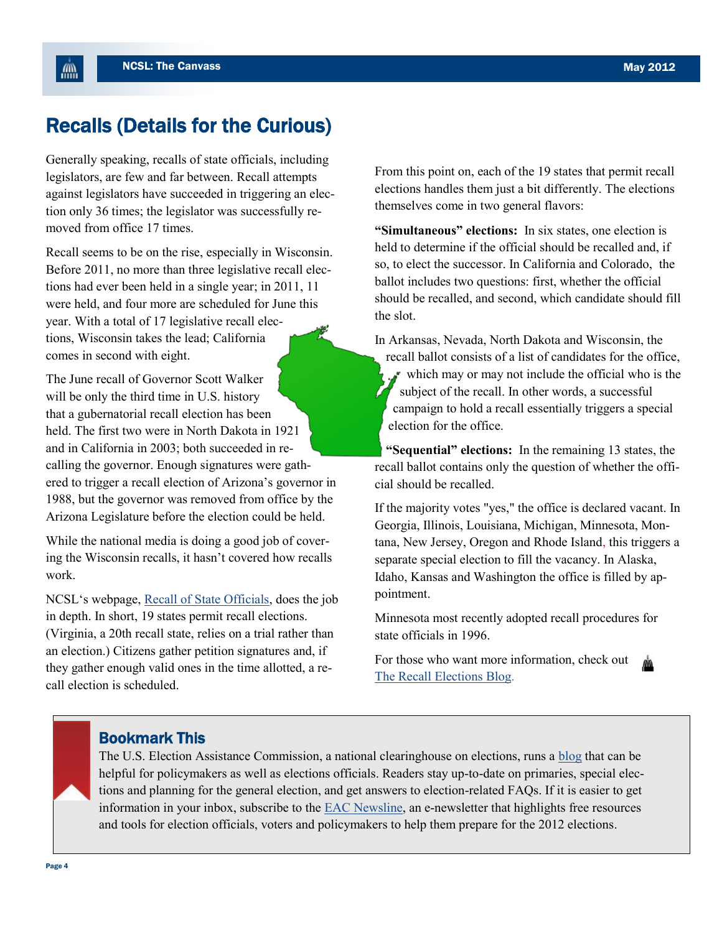血

### Recalls (Details for the Curious)

Generally speaking, recalls of state officials, including legislators, are few and far between. Recall attempts against legislators have succeeded in triggering an election only 36 times; the legislator was successfully removed from office 17 times.

Recall seems to be on the rise, especially in Wisconsin. Before 2011, no more than three legislative recall elections had ever been held in a single year; in 2011, 11 were held, and four more are scheduled for June this year. With a total of 17 legislative recall elections, Wisconsin takes the lead; California comes in second with eight.

The June recall of Governor Scott Walker will be only the third time in U.S. history that a gubernatorial recall election has been held. The first two were in North Dakota in 1921 and in California in 2003; both succeeded in recalling the governor. Enough signatures were gathered to trigger a recall election of Arizona"s governor in 1988, but the governor was removed from office by the Arizona Legislature before the election could be held.

While the national media is doing a good job of covering the Wisconsin recalls, it hasn't covered how recalls work.

NCSL"s webpage, [Recall of State Officials,](http://www.ncsl.org/default.aspx?Tabid=16581) does the job in depth. In short, 19 states permit recall elections. (Virginia, a 20th recall state, relies on a trial rather than an election.) Citizens gather petition signatures and, if they gather enough valid ones in the time allotted, a recall election is scheduled.

From this point on, each of the 19 states that permit recall elections handles them just a bit differently. The elections themselves come in two general flavors:

**"Simultaneous" elections:** In six states, one election is held to determine if the official should be recalled and, if so, to elect the successor. In California and Colorado, the ballot includes two questions: first, whether the official should be recalled, and second, which candidate should fill the slot.

In Arkansas, Nevada, North Dakota and Wisconsin, the recall ballot consists of a list of candidates for the office, which may or may not include the official who is the subject of the recall. In other words, a successful campaign to hold a recall essentially triggers a special election for the office.

**"Sequential" elections:** In the remaining 13 states, the recall ballot contains only the question of whether the official should be recalled.

If the majority votes "yes," the office is declared vacant. In Georgia, Illinois, Louisiana, Michigan, Minnesota, Montana, New Jersey, Oregon and Rhode Island, this triggers a separate special election to fill the vacancy. In Alaska, Idaho, Kansas and Washington the office is filled by appointment.

Minnesota most recently adopted recall procedures for state officials in 1996.

For those who want more information, check out [The Recall Elections Blog.](http://recallelections.blogspot.com/) 

### Bookmark This

The U.S. Election Assistance Commission, a national clearinghouse on elections, runs a [blog](http://www.eac.gov/blogs/) that can be helpful for policymakers as well as elections officials. Readers stay up-to-date on primaries, special elections and planning for the general election, and get answers to election-related FAQs. If it is easier to get information in your inbox, subscribe to the [EAC Newsline,](http://www.eac.gov/signup.aspx) an e-newsletter that highlights free resources and tools for election officials, voters and policymakers to help them prepare for the 2012 elections.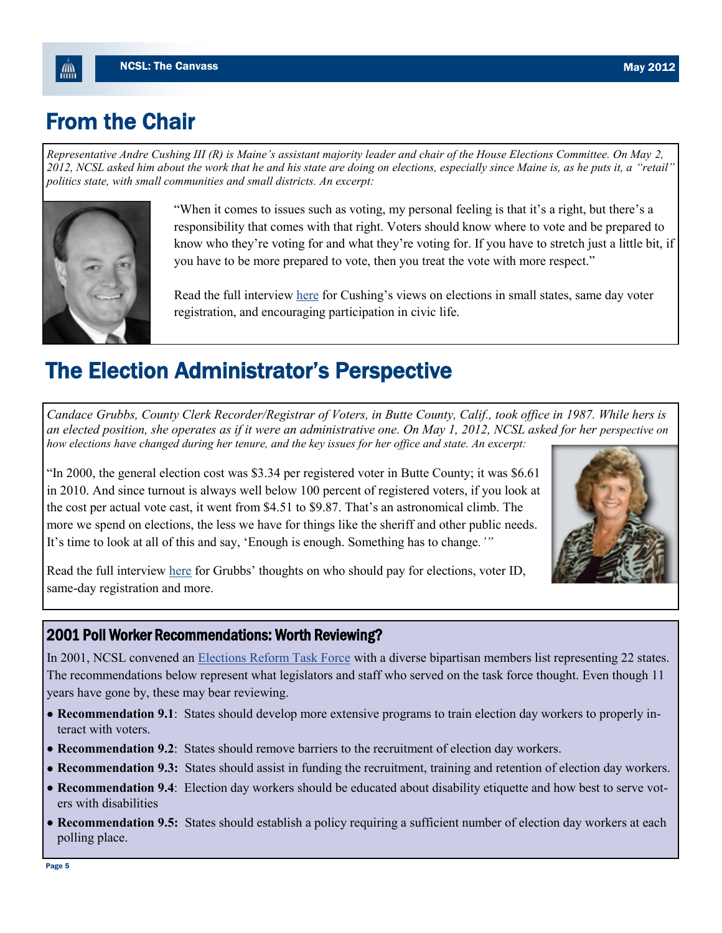## From the Chair

飍

*Representative Andre Cushing III (R) is Maine's assistant majority leader and chair of the House Elections Committee. On May 2, 2012, NCSL asked him about the work that he and his state are doing on elections, especially since Maine is, as he puts it, a "retail" politics state, with small communities and small districts. An excerpt:* 



"When it comes to issues such as voting, my personal feeling is that it's a right, but there's a responsibility that comes with that right. Voters should know where to vote and be prepared to know who they"re voting for and what they"re voting for. If you have to stretch just a little bit, if you have to be more prepared to vote, then you treat the vote with more respect."

Read the full interview [here](http:/www.ncsl.org/default.aspx?Tabid=24216) for Cushing's views on elections in small states, same day voter registration, and encouraging participation in civic life.

## The Election Administrator's Perspective

*Candace Grubbs, County Clerk Recorder/Registrar of Voters, in Butte County, Calif., took office in 1987. While hers is an elected position, she operates as if it were an administrative one. On May 1, 2012, NCSL asked for her perspective on how elections have changed during her tenure, and the key issues for her office and state. An excerpt:*

"In 2000, the general election cost was \$3.34 per registered voter in Butte County; it was \$6.61 in 2010. And since turnout is always well below 100 percent of registered voters, if you look at the cost per actual vote cast, it went from \$4.51 to \$9.87. That's an astronomical climb. The more we spend on elections, the less we have for things like the sheriff and other public needs. It"s time to look at all of this and say, "Enough is enough. Something has to change*.'"*



Read the full interview [here](http://www.ncsl.org/default.aspx?Tabid=24217) for Grubbs" thoughts on who should pay for elections, voter ID, same-day registration and more.

### 2001 Poll Worker Recommendations: Worth Reviewing?

In 2001, NCSL convened an **[Elections Reform Task Force](http://www.ncsl.org/default.aspx?tabid=16495)** with a diverse bipartisan members list representing 22 states. The recommendations below represent what legislators and staff who served on the task force thought. Even though 11 years have gone by, these may bear reviewing.

- **Recommendation 9.1**: States should develop more extensive programs to train election day workers to properly interact with voters.
- **Recommendation 9.2**: States should remove barriers to the recruitment of election day workers.
- **Recommendation 9.3:** States should assist in funding the recruitment, training and retention of election day workers.
- **Recommendation 9.4**: Election day workers should be educated about disability etiquette and how best to serve voters with disabilities
- **Recommendation 9.5:** States should establish a policy requiring a sufficient number of election day workers at each polling place.